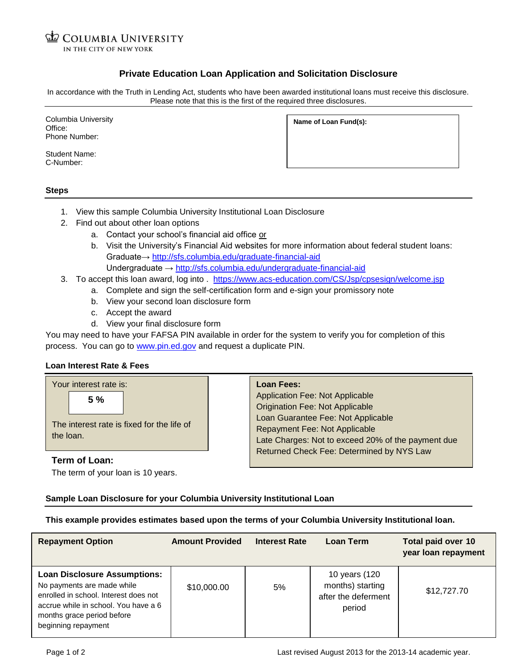**ED COLUMBIA UNIVERSITY** IN THE CITY OF NEW YORK

## **Private Education Loan Application and Solicitation Disclosure**

In accordance with the Truth in Lending Act, students who have been awarded institutional loans must receive this disclosure. Please note that this is the first of the required three disclosures.

| Columbia University<br>Office:<br>Phone Number: | Name of Loan Fund(s): |
|-------------------------------------------------|-----------------------|
| <b>Student Name:</b><br>C-Number:               |                       |

#### **Steps**

- 1. View this sample Columbia University Institutional Loan Disclosure
- 2. Find out about other loan options
	- a. Contact your school's financial aid office or
	- b. Visit the University's Financial Aid websites for more information about federal student loans: Graduate→<http://sfs.columbia.edu/graduate-financial-aid> Undergraduate →<http://sfs.columbia.edu/undergraduate-financial-aid>
- 3. To accept this loan award, log into . <https://www.acs-education.com/CS/Jsp/cpsesign/welcome.jsp>
	- a. Complete and sign the self-certification form and e-sign your promissory note
		- b. View your second loan disclosure form
		- c. Accept the award
		- d. View your final disclosure form

You may need to have your FAFSA PIN available in order for the system to verify you for completion of this process. You can go to [www.pin.ed.gov](http://www.pin.ed.gov/) and request a duplicate PIN.

### **Loan Interest Rate & Fees**

| <b>Application Fee: Not Applicable</b><br>5%<br><b>Origination Fee: Not Applicable</b><br>Loan Guarantee Fee: Not Applicable<br>The interest rate is fixed for the life of<br>Repayment Fee: Not Applicable<br>the loan.<br>Late Charges: Not to exceed 20% of the payment due<br>Returned Check Fee: Determined by NYS Law | Your interest rate is: | <b>Loan Fees:</b> |
|-----------------------------------------------------------------------------------------------------------------------------------------------------------------------------------------------------------------------------------------------------------------------------------------------------------------------------|------------------------|-------------------|
|                                                                                                                                                                                                                                                                                                                             | Term of Loan:          |                   |

The term of your loan is 10 years.

# **Sample Loan Disclosure for your Columbia University Institutional Loan**

**This example provides estimates based upon the terms of your Columbia University Institutional loan.**

| <b>Repayment Option</b>                                                                                                                                                                                 | <b>Amount Provided</b> | <b>Interest Rate</b> | <b>Loan Term</b>                                                   | Total paid over 10<br>year loan repayment |
|---------------------------------------------------------------------------------------------------------------------------------------------------------------------------------------------------------|------------------------|----------------------|--------------------------------------------------------------------|-------------------------------------------|
| <b>Loan Disclosure Assumptions:</b><br>No payments are made while<br>enrolled in school. Interest does not<br>accrue while in school. You have a 6<br>months grace period before<br>beginning repayment | \$10,000.00            | 5%                   | 10 years (120<br>months) starting<br>after the deferment<br>period | \$12,727.70                               |